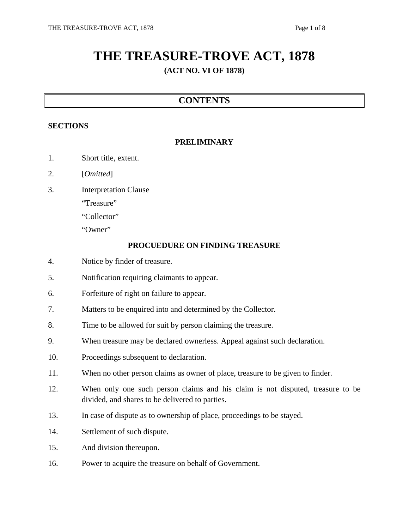# **THE TREASURE-TROVE ACT, 1878**

# **(ACT NO. VI OF 1878)**

# **CONTENTS**

#### **SECTIONS**

#### **PRELIMINARY**

- 1. Short title, extent.
- 2. [*Omitted*]
- 3. Interpretation Clause
	- "Treasure"
	- "Collector"
	- "Owner"

#### **PROCUEDURE ON FINDING TREASURE**

- 4. Notice by finder of treasure.
- 5. Notification requiring claimants to appear.
- 6. Forfeiture of right on failure to appear.
- 7. Matters to be enquired into and determined by the Collector.
- 8. Time to be allowed for suit by person claiming the treasure.
- 9. When treasure may be declared ownerless. Appeal against such declaration.
- 10. Proceedings subsequent to declaration.
- 11. When no other person claims as owner of place, treasure to be given to finder.
- 12. When only one such person claims and his claim is not disputed, treasure to be divided, and shares to be delivered to parties.
- 13. In case of dispute as to ownership of place, proceedings to be stayed.
- 14. Settlement of such dispute.
- 15. And division thereupon.
- 16. Power to acquire the treasure on behalf of Government.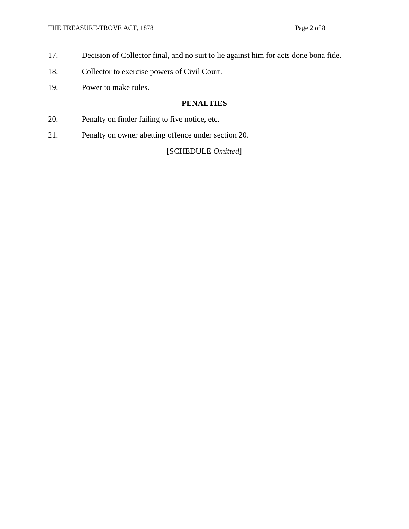- 17. Decision of Collector final, and no suit to lie against him for acts done bona fide.
- 18. Collector to exercise powers of Civil Court.
- 19. Power to make rules.

#### **PENALTIES**

- 20. Penalty on finder failing to five notice, etc.
- 21. Penalty on owner abetting offence under section 20.

#### [SCHEDULE *Omitted*]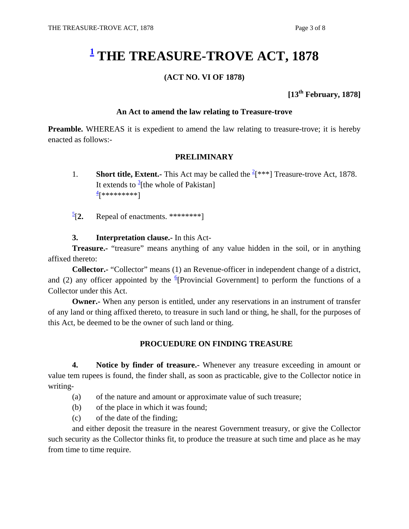# **1 THE TREASURE-TROVE ACT, 1878**

#### **(ACT NO. VI OF 1878)**

## **[13th February, 1878]**

#### **An Act to amend the law relating to Treasure-trove**

**Preamble.** WHEREAS it is expedient to amend the law relating to treasure-trove; it is hereby enacted as follows:-

#### **PRELIMINARY**

- 1. **Short title, Extent.-** This Act may be called the  $\frac{2}{5}$ <sup>\*\*</sup>] Treasure-trove Act, 1878. It extends to  $\frac{3}{3}$ [the whole of Pakistan] <u>4</u>[\*\*\*\*\*\*\*\*]
	- $\frac{5}{2}$ [2. Repeal of enactments. \*\*\*\*\*\*\*\*\*]

#### **3. Interpretation clause.-** In this Act-

**Treasure.-** "treasure" means anything of any value hidden in the soil, or in anything affixed thereto:

**Collector.-** "Collector" means (1) an Revenue-officer in independent change of a district, and (2) any officer appointed by the  $\frac{6}{5}$ [Provincial Government] to perform the functions of a Collector under this Act.

**Owner.-** When any person is entitled, under any reservations in an instrument of transfer of any land or thing affixed thereto, to treasure in such land or thing, he shall, for the purposes of this Act, be deemed to be the owner of such land or thing.

#### **PROCUEDURE ON FINDING TREASURE**

**4. Notice by finder of treasure.-** Whenever any treasure exceeding in amount or value tem rupees is found, the finder shall, as soon as practicable, give to the Collector notice in writing-

- (a) of the nature and amount or approximate value of such treasure;
- (b) of the place in which it was found;
- (c) of the date of the finding;

 and either deposit the treasure in the nearest Government treasury, or give the Collector such security as the Collector thinks fit, to produce the treasure at such time and place as he may from time to time require.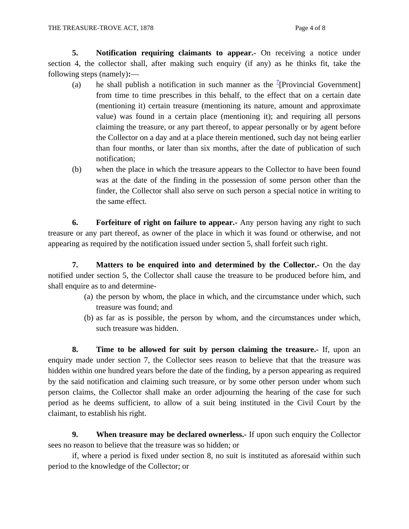**5. Notification requiring claimants to appear.-** On receiving a notice under section 4, the collector shall, after making such enquiry (if any) as he thinks fit, take the following steps (namely)**:**—

- (a) he shall publish a notification in such manner as the <sup>7</sup>[Provincial Government] from time to time prescribes in this behalf, to the effect that on a certain date (mentioning it) certain treasure (mentioning its nature, amount and approximate value) was found in a certain place (mentioning it); and requiring all persons claiming the treasure, or any part thereof, to appear personally or by agent before the Collector on a day and at a place therein mentioned, such day not being earlier than four months, or later than six months, after the date of publication of such notification;
- (b) when the place in which the treasure appears to the Collector to have been found was at the date of the finding in the possession of some person other than the finder, the Collector shall also serve on such person a special notice in writing to the same effect.

 **6. Forfeiture of right on failure to appear.-** Any person having any right to such treasure or any part thereof, as owner of the place in which it was found or otherwise, and not appearing as required by the notification issued under section 5, shall forfeit such right.

**7. Matters to be enquired into and determined by the Collector.-** On the day notified under section 5, the Collector shall cause the treasure to be produced before him, and shall enquire as to and determine-

- (a) the person by whom, the place in which, and the circumstance under which, such treasure was found; and
- (b) as far as is possible, the person by whom, and the circumstances under which, such treasure was hidden.

 **8. Time to be allowed for suit by person claiming the treasure.-** If, upon an enquiry made under section 7, the Collector sees reason to believe that that the treasure was hidden within one hundred years before the date of the finding, by a person appearing as required by the said notification and claiming such treasure, or by some other person under whom such person claims, the Collector shall make an order adjourning the hearing of the case for such period as he deems sufficient, to allow of a suit being instituted in the Civil Court by the claimant, to establish his right.

**9. When treasure may be declared ownerless.-** If upon such enquiry the Collector sees no reason to believe that the treasure was so hidden; or

 if, where a period is fixed under section 8, no suit is instituted as aforesaid within such period to the knowledge of the Collector; or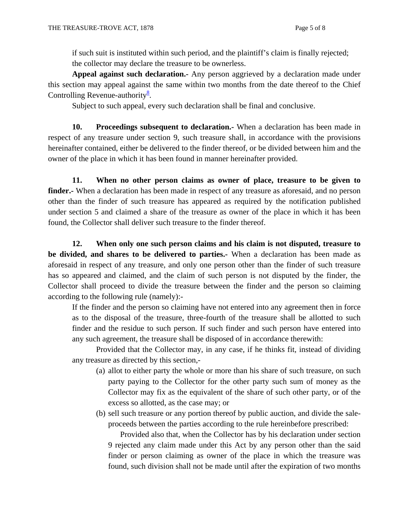if such suit is instituted within such period, and the plaintiff's claim is finally rejected; the collector may declare the treasure to be ownerless.

**Appeal against such declaration.-** Any person aggrieved by a declaration made under this section may appeal against the same within two months from the date thereof to the Chief Controlling Revenue-authority $\frac{8}{3}$ .

Subject to such appeal, every such declaration shall be final and conclusive.

**10. Proceedings subsequent to declaration.-** When a declaration has been made in respect of any treasure under section 9, such treasure shall, in accordance with the provisions hereinafter contained, either be delivered to the finder thereof, or be divided between him and the owner of the place in which it has been found in manner hereinafter provided.

 **11. When no other person claims as owner of place, treasure to be given to finder.-** When a declaration has been made in respect of any treasure as aforesaid, and no person other than the finder of such treasure has appeared as required by the notification published under section 5 and claimed a share of the treasure as owner of the place in which it has been found, the Collector shall deliver such treasure to the finder thereof.

 **12. When only one such person claims and his claim is not disputed, treasure to be divided, and shares to be delivered to parties.-** When a declaration has been made as aforesaid in respect of any treasure, and only one person other than the finder of such treasure has so appeared and claimed, and the claim of such person is not disputed by the finder, the Collector shall proceed to divide the treasure between the finder and the person so claiming according to the following rule (namely):-

If the finder and the person so claiming have not entered into any agreement then in force as to the disposal of the treasure, three-fourth of the treasure shall be allotted to such finder and the residue to such person. If such finder and such person have entered into any such agreement, the treasure shall be disposed of in accordance therewith:

Provided that the Collector may, in any case, if he thinks fit, instead of dividing any treasure as directed by this section,-

- (a) allot to either party the whole or more than his share of such treasure, on such party paying to the Collector for the other party such sum of money as the Collector may fix as the equivalent of the share of such other party, or of the excess so allotted, as the case may; or
- (b) sell such treasure or any portion thereof by public auction, and divide the saleproceeds between the parties according to the rule hereinbefore prescribed:

Provided also that, when the Collector has by his declaration under section 9 rejected any claim made under this Act by any person other than the said finder or person claiming as owner of the place in which the treasure was found, such division shall not be made until after the expiration of two months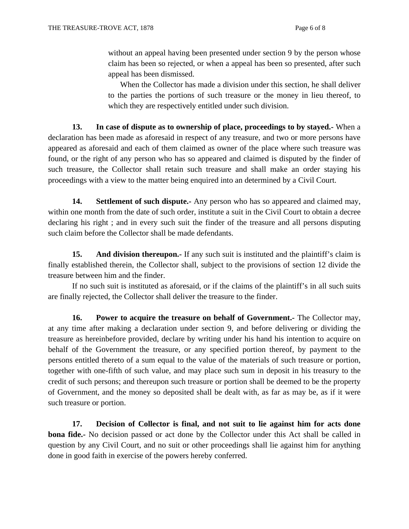without an appeal having been presented under section 9 by the person whose claim has been so rejected, or when a appeal has been so presented, after such appeal has been dismissed.

When the Collector has made a division under this section, he shall deliver to the parties the portions of such treasure or the money in lieu thereof, to which they are respectively entitled under such division.

 **13. In case of dispute as to ownership of place, proceedings to by stayed.-** When a declaration has been made as aforesaid in respect of any treasure, and two or more persons have appeared as aforesaid and each of them claimed as owner of the place where such treasure was found, or the right of any person who has so appeared and claimed is disputed by the finder of such treasure, the Collector shall retain such treasure and shall make an order staying his proceedings with a view to the matter being enquired into an determined by a Civil Court.

**14.** Settlement of such dispute.- Any person who has so appeared and claimed may, within one month from the date of such order, institute a suit in the Civil Court to obtain a decree declaring his right ; and in every such suit the finder of the treasure and all persons disputing such claim before the Collector shall be made defendants.

15. And division thereupon.- If any such suit is instituted and the plaintiff's claim is finally established therein, the Collector shall, subject to the provisions of section 12 divide the treasure between him and the finder.

 If no such suit is instituted as aforesaid, or if the claims of the plaintiff's in all such suits are finally rejected, the Collector shall deliver the treasure to the finder.

 **16. Power to acquire the treasure on behalf of Government.** The Collector may, at any time after making a declaration under section 9, and before delivering or dividing the treasure as hereinbefore provided, declare by writing under his hand his intention to acquire on behalf of the Government the treasure, or any specified portion thereof, by payment to the persons entitled thereto of a sum equal to the value of the materials of such treasure or portion, together with one-fifth of such value, and may place such sum in deposit in his treasury to the credit of such persons; and thereupon such treasure or portion shall be deemed to be the property of Government, and the money so deposited shall be dealt with, as far as may be, as if it were such treasure or portion.

 **17. Decision of Collector is final, and not suit to lie against him for acts done bona fide.-** No decision passed or act done by the Collector under this Act shall be called in question by any Civil Court, and no suit or other proceedings shall lie against him for anything done in good faith in exercise of the powers hereby conferred.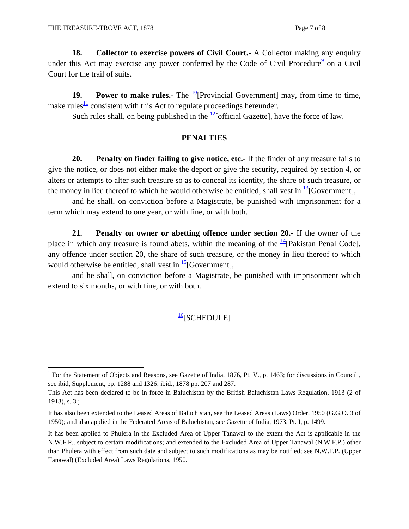**18. Collector to exercise powers of Civil Court.-** A Collector making any enquiry under this Act may exercise any power conferred by the Code of Civil Procedure $9$  on a Civil Court for the trail of suits.

**19. Power to make rules.**- The  $\frac{10}{2}$ [Provincial Government] may, from time to time, make rules<sup>11</sup> consistent with this Act to regulate proceedings hereunder.

Such rules shall, on being published in the  $\frac{12}{2}$ [official Gazette], have the force of law.

#### **PENALTIES**

 **20. Penalty on finder failing to give notice, etc.-** If the finder of any treasure fails to give the notice, or does not either make the deport or give the security, required by section 4, or alters or attempts to alter such treasure so as to conceal its identity, the share of such treasure, or the money in lieu thereof to which he would otherwise be entitled, shall vest in  $^{13}$ [Government],

 and he shall, on conviction before a Magistrate, be punished with imprisonment for a term which may extend to one year, or with fine, or with both.

 **21. Penalty on owner or abetting offence under section 20.-** If the owner of the place in which any treasure is found abets, within the meaning of the  $\frac{14}{2}$ [Pakistan Penal Code], any offence under section 20, the share of such treasure, or the money in lieu thereof to which would otherwise be entitled, shall vest in  $\frac{15}{5}$ [Government],

 and he shall, on conviction before a Magistrate, be punished with imprisonment which extend to six months, or with fine, or with both.

## $\frac{16}{16}$ [SCHEDULE]

  $\frac{1}{1}$  For the Statement of Objects and Reasons, see Gazette of India, 1876, Pt. V., p. 1463; for discussions in Council, see ibid, Supplement, pp. 1288 and 1326; ibid., 1878 pp. 207 and 287.

This Act has been declared to be in force in Baluchistan by the British Baluchistan Laws Regulation, 1913 (2 of 1913), s. 3 ;

It has also been extended to the Leased Areas of Baluchistan, see the Leased Areas (Laws) Order, 1950 (G.G.O. 3 of 1950); and also applied in the Federated Areas of Baluchistan, see Gazette of India, 1973, Pt. I, p. 1499.

It has been applied to Phulera in the Excluded Area of Upper Tanawal to the extent the Act is applicable in the N.W.F.P., subject to certain modifications; and extended to the Excluded Area of Upper Tanawal (N.W.F.P.) other than Phulera with effect from such date and subject to such modifications as may be notified; see N.W.F.P. (Upper Tanawal) (Excluded Area) Laws Regulations, 1950.